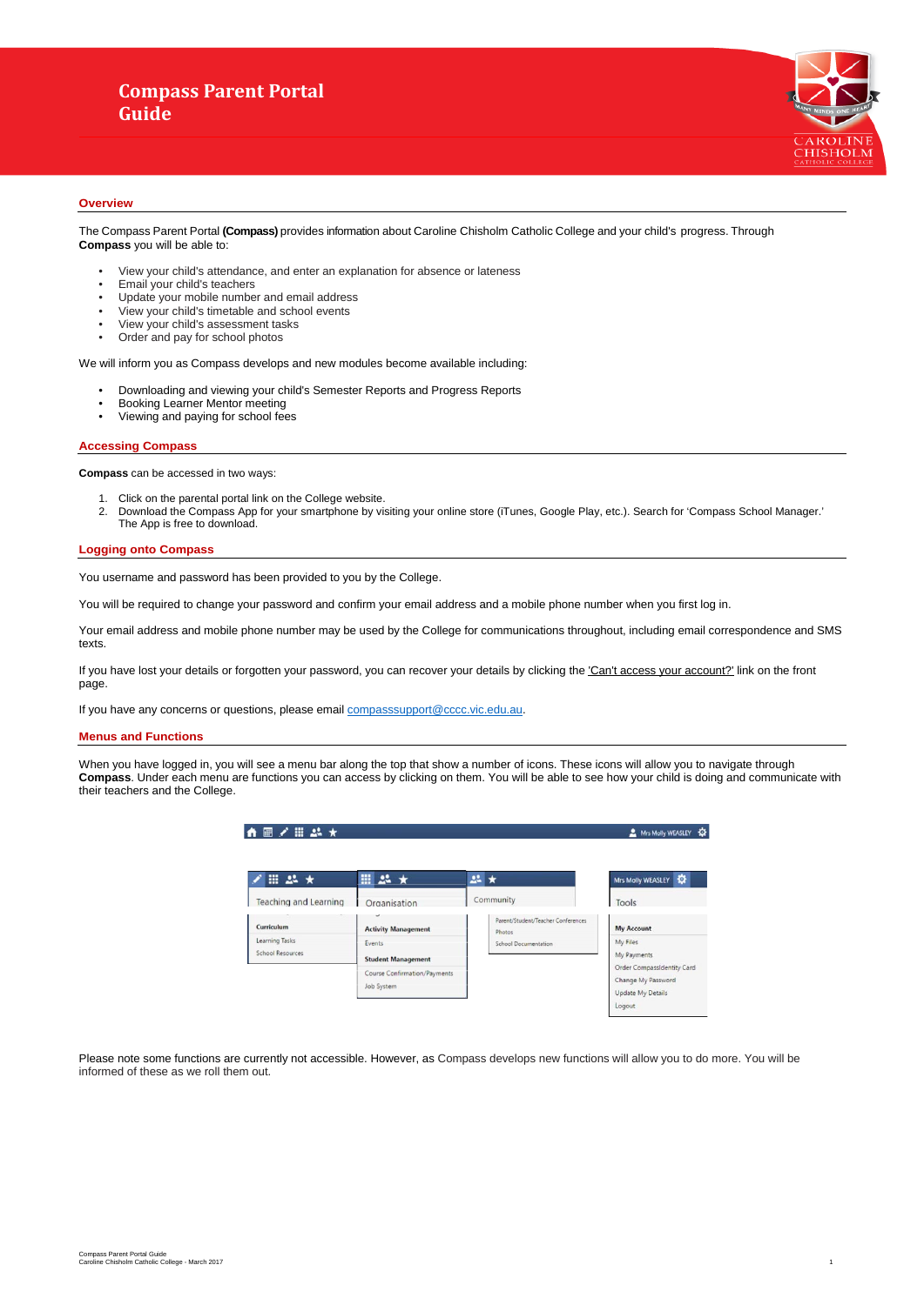# **Compass Parent Portal Guide**



#### **Overview**

- View your child's attendance, and enter an explanation for absence or lateness
- Email your child's teachers
- Update your mobile number and email address
- View your child's timetable and school events<br>• View your child's assessment tasks
- View your child's assessment tasks<br>• Order and pay for school photos
- Order and pay for school photos

The Compass Parent Portal **(Compass)** provides information about Caroline Chisholm Catholic College and your child's progress. Through **Compass** you will be able to:

We will inform you as Compass develops and new modules become available including:

- Downloading and viewing your child's Semester Reports and Progress Reports
- Booking Learner Mentor meeting
- Viewing and paying for school fees

#### **Accessing Compass**

If you have lost your details or forgotten your password, you can recover your details by clicking the 'Can't access your account?' link on the front page.

**Compass** can be accessed in two ways:

- 1. Click on the parental portal link on the College website.
- 2. Download the Compass App for your smartphone by visiting your online store (iTunes, Google Play, etc.). Search for 'Compass School Manager.' The App is free to download.

#### **Logging onto Compass**

You username and password has been provided to you by the College.

You will be required to change your password and confirm your email address and a mobile phone number when you first log in.

Your email address and mobile phone number may be used by the College for communications throughout, including email correspondence and SMS texts.

If you have any concerns or questions, please email [compasssupport@cccc.vic.edu.au.](mailto:compasssupport@cccc.vic.edu.au)

#### **Menus and Functions**

When you have logged in, you will see a menu bar along the top that show a number of icons. These icons will allow you to navigate through **Compass**. Under each menu are functions you can access by clicking on them. You will be able to see how your child is doing and communicate with their teachers and the College.

|                                    |                                            |                                              | Mrs Molly WEASLEY                                                     |
|------------------------------------|--------------------------------------------|----------------------------------------------|-----------------------------------------------------------------------|
| Ⅲ 24 ★                             | Ⅲ 24 ★                                     | $22 \star$                                   | ۰<br><b>Mrs Molly WEASLEY</b>                                         |
| <b>Teaching and Learning</b>       | Organisation                               | Community                                    | Tools                                                                 |
| Curriculum                         | <b>Activity Management</b>                 | Parent/Student/Teacher Conferences<br>Photos | <b>My Account</b>                                                     |
| Learning Tasks<br>School Resources | Events<br><b>Student Management</b>        | <b>School Documentation</b>                  | My Files<br>My Payments                                               |
|                                    | Course Confirmation/Payments<br>Job System |                                              | Order CompassIdentity Card<br>Change My Password<br>Update My Details |

| <b>Undate My Details</b> |  |
|--------------------------|--|
|                          |  |
|                          |  |

Please note some functions are currently not accessible. However, as Compass develops new functions will allow you to do more. You will be informed of these as we roll them out.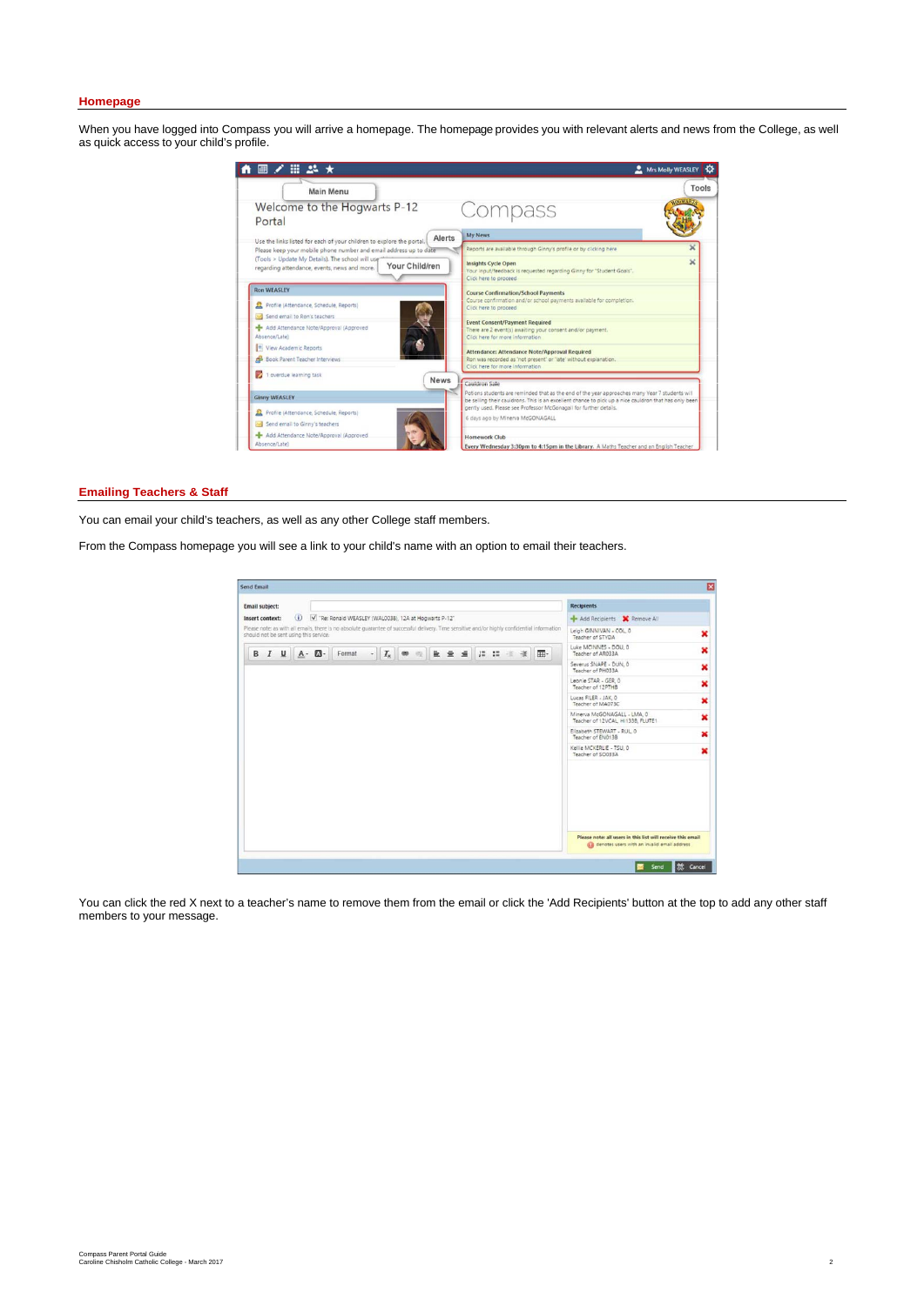#### **Homepage**

When you have logged into Compass you will arrive a homepage. The homepage provides you with relevant alerts and news from the College, as well as quick access to your child's profile.



#### **Emailing Teachers & Staff**

You can click the red X next to a teacher's name to remove them from the email or click the 'Add Recipients' button at the top to add any other staff members to your message.

You can email your child's teachers, as well as any other College staff members.

From the Compass homepage you will see a link to your child's name with an option to email their teachers.

| <b>Email subject:</b> |          |                                        |                                                                                                                                               |  |  |  |  |    | <b>Recipients</b>                                                                                              |   |
|-----------------------|----------|----------------------------------------|-----------------------------------------------------------------------------------------------------------------------------------------------|--|--|--|--|----|----------------------------------------------------------------------------------------------------------------|---|
| Insert context:       | $\omega$ |                                        | V "Re: Ronald WEASLEY (WAL0038), 12A at Hogwarts P-12"                                                                                        |  |  |  |  |    | Add Recipients X Remove All                                                                                    |   |
|                       |          | should not be sent using this service. | Please note: as with all emails, there is no absolute guarantee of successful delivery. Time sensitive and/or highly confidential information |  |  |  |  |    | Leigh GINNIVAN - COL 0<br>Teacher of STYDA                                                                     | × |
|                       |          | $B$ $I$ $U$ $A$ $T$                    | Format                                                                                                                                        |  |  |  |  | 囲- | Luke MCINNES - DOU. 0<br>Teacher of AR033A                                                                     | × |
|                       |          |                                        |                                                                                                                                               |  |  |  |  |    | Severus SNAPE - DUN, 0<br>Teacher of PH033A                                                                    | × |
|                       |          |                                        |                                                                                                                                               |  |  |  |  |    | Leonie STAR - GER. 0<br>Teacher of 12PTHB                                                                      | × |
|                       |          |                                        |                                                                                                                                               |  |  |  |  |    | Lucas FILER - JAK, O<br>Teacher of MA073C                                                                      | × |
|                       |          |                                        |                                                                                                                                               |  |  |  |  |    | Minerva McGONAGALL - LMA, 0<br>Teacher of 12VCAL HI133B, FLUTE1                                                |   |
|                       |          |                                        |                                                                                                                                               |  |  |  |  |    | Elizabeth STEWART - RUL 0<br>Teacher of EN0138                                                                 | × |
|                       |          |                                        |                                                                                                                                               |  |  |  |  |    | Kellie MCKERLIE - TSU, 0<br>Teacher of SO033A                                                                  | × |
|                       |          |                                        |                                                                                                                                               |  |  |  |  |    |                                                                                                                |   |
|                       |          |                                        |                                                                                                                                               |  |  |  |  |    |                                                                                                                |   |
|                       |          |                                        |                                                                                                                                               |  |  |  |  |    |                                                                                                                |   |
|                       |          |                                        |                                                                                                                                               |  |  |  |  |    | Please note: all users in this list will receive this email<br>(1) denotes users with an invalid email address |   |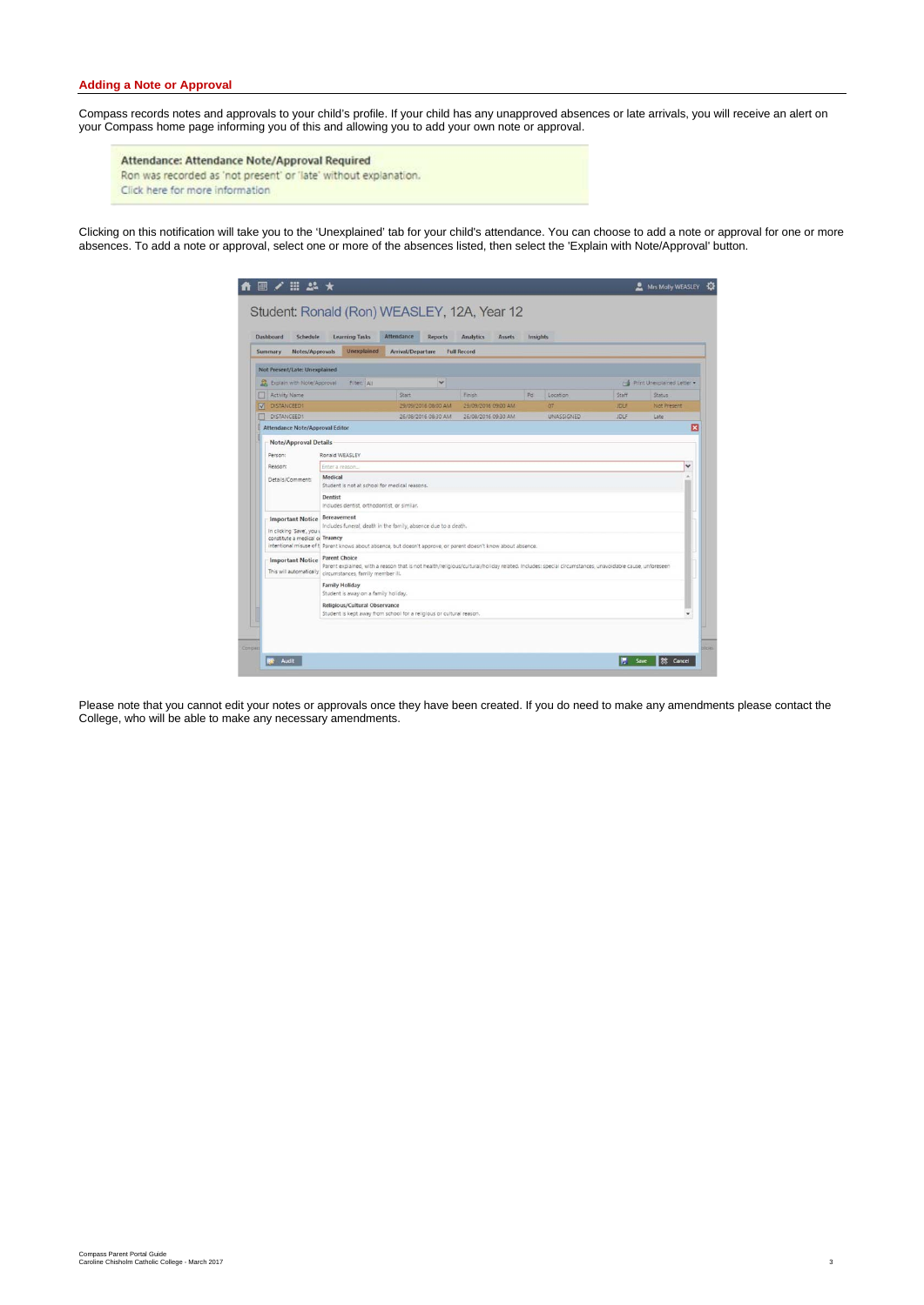# **Adding a Note or Approval**

Compass records notes and approvals to your child's profile. If your child has any unapproved absences or late arrivals, you will receive an alert on your Compass home page informing you of this and allowing you to add your own note or approval.

Attendance: Attendance Note/Approval Required Ron was recorded as 'not present' or 'late' without explanation. Click here for more information

Clicking on this notification will take you to the 'Unexplained' tab for your child's attendance. You can choose to add a note or approval for one or more absences. To add a note or approval, select one or more of the absences listed, then select the 'Explain with Note/Approval' button.

|                                                                                         | <b>Learning Tasks</b>                                                                                                  | Attendance<br><b>Reports</b>                                                                                                                                                                                                                                            | <b>Analytics</b><br><b>Assets</b> | Insights |            |             |                            |
|-----------------------------------------------------------------------------------------|------------------------------------------------------------------------------------------------------------------------|-------------------------------------------------------------------------------------------------------------------------------------------------------------------------------------------------------------------------------------------------------------------------|-----------------------------------|----------|------------|-------------|----------------------------|
| Notes/Approvals<br>Summary                                                              | <b>Unexplained</b>                                                                                                     | Arrival/Departure                                                                                                                                                                                                                                                       | <b>Full Record</b>                |          |            |             |                            |
| Not Present/Late: Unexplained                                                           |                                                                                                                        |                                                                                                                                                                                                                                                                         |                                   |          |            |             |                            |
| Explain with Note/Approval                                                              | Filter: All                                                                                                            | v                                                                                                                                                                                                                                                                       |                                   |          |            |             | Print Unexplained Letter . |
| Activity Name                                                                           |                                                                                                                        | Start                                                                                                                                                                                                                                                                   | Finish                            | Pd       | Location   | Staff       | <b>Status</b>              |
| V DISTANCEED1                                                                           |                                                                                                                        | 29/09/2016 08:00 AM                                                                                                                                                                                                                                                     | 29/09/2016 09:00 AM               |          | 07         | <b>JDUF</b> | Not Present                |
| DISTANCEED1<br>Attendance Note/Approval Editor                                          |                                                                                                                        | 26/08/2016 08:30 AM                                                                                                                                                                                                                                                     | 26/08/2016 09:30 AM               |          | UNASSIGNED | <b>JDLF</b> | Late<br>×                  |
| <b>Important Notice</b><br>In clicking 'Save', you i<br>constitute a medical of Truancy | Student is not at school for medical reasons.<br>Dentist<br>Includes dentist, orthodontist, or similar.<br>Bereavement | Includes funeral, death in the family, absence due to a death.                                                                                                                                                                                                          |                                   |          |            |             |                            |
| <b>Important Notice</b><br>This will automatically                                      | <b>Parent Choice</b><br>circumstances, family member ill.                                                              | intentional misuse of t Parent knows about absence, but doesn't approve, or parent doesn't know about absence.<br>Parent explained, with a reason that is not health/religious/cultural/holiday related. Includes: special circumstances, unavoidable cause, unforeseen |                                   |          |            |             |                            |
|                                                                                         | <b>Family Holiday</b><br>Student is away on a family holiday.                                                          |                                                                                                                                                                                                                                                                         |                                   |          |            |             |                            |
|                                                                                         | Religious/Cultural Observance                                                                                          | Student is kept away from school for a religious or cultural reason.                                                                                                                                                                                                    |                                   |          |            |             | ٠                          |

Please note that you cannot edit your notes or approvals once they have been created. If you do need to make any amendments please contact the College, who will be able to make any necessary amendments.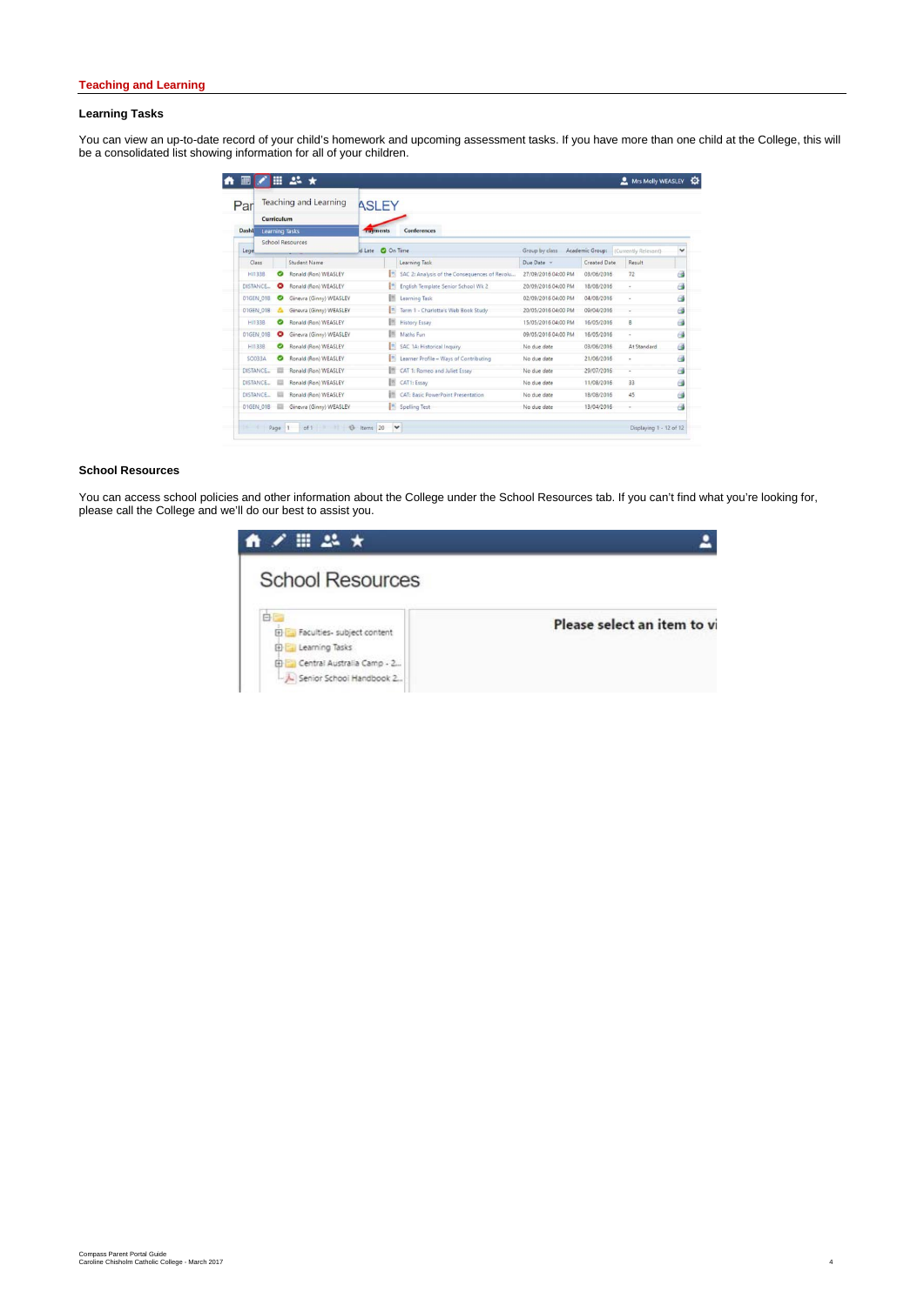# **Teaching and Learning**

# **Learning Tasks**

You can view an up-to-date record of your child's homework and upcoming assessment tasks. If you have more than one child at the College, this will be a consolidated list showing information for all of your children.

| Par                                                 | Teaching and Learning   | <b>ASLEY</b>               |                                               |                     |                     |                                      |              |
|-----------------------------------------------------|-------------------------|----------------------------|-----------------------------------------------|---------------------|---------------------|--------------------------------------|--------------|
| Curriculum<br><b>Dasht</b><br><b>Learning Tasks</b> |                         | <b>Tayments</b>            | Conferences                                   |                     |                     |                                      |              |
| Legel                                               | <b>School Resources</b> | <b>Q</b> On Time<br>d Late |                                               | Group by class      |                     | Academic Group: (Currently Relevant) | $\checkmark$ |
| Class <sub></sub>                                   | Student Name            |                            | Learning Task                                 | Due Date =          | <b>Created Date</b> | Result                               |              |
| HI133B<br>ల                                         | Ronald (Ron) WEASLEY    |                            | SAC 2: Analysis of the Consequences of Revolu | 27/09/2016 04:00 PM | 03/06/2016          | 72                                   | G            |
| DISTANCE<br>ø                                       | Ronald (Ron) WEASLEY    | e                          | English Template Senior School Wk 2           | 20/09/2016 04:00 PM | 18/08/2016          | $\sim$                               | G            |
| 01GEN_01B                                           | Ginevra (Ginny) WEASLEY | <b>IS</b>                  | Learning Task                                 | 02/09/2016 04:00 PM | 04/08/2016          | ×                                    | G            |
| 01GEN 01B                                           | Ginevra (Ginny) WEASLEY | B                          | Term 1 - Charlotte's Web Book Study           | 20/05/2016 04:00 PM | 09/04/2016          |                                      | G            |
| HI133B<br>◙                                         | Ronald (Ron) WEASLEY    | 88                         | <b>History Essay</b>                          | 15/05/2016 04:00 PM | 16/05/2016          | B                                    | G            |
| 01GEN 01B<br>ø                                      | Ginevra (Ginny) WEASLEY | 拼                          | Maths Fun                                     | 09/05/2016 04:00 PM | 16/05/2016          | ٠                                    | G            |
| ø<br>H1133B                                         | Ronald (Ron) WEASLEY    | I.                         | SAC 1A: Historical Inquiry                    | No due date         | 03/06/2016          | At Standard                          | G            |
| SO033A<br>ల                                         | Ronald (Ron) WEASLEY    | $\mathbb{R}$               | Learner Profile - Ways of Contributing        | No due date         | 21/06/2016          | ×                                    | G\$          |
| DISTANCE                                            | Ronald (Ron) WEASLEY    | 拼                          | CAT 1: Romeo and Juliet Essay                 | No due date         | 29/07/2016          | $\overline{\phantom{a}}$             | G            |
| DISTANCE                                            | Ronald (Ron) WEASLEY    | B                          | CAT1: Essay                                   | No due date         | 11/08/2016          | 33                                   | G            |
| DISTANCE                                            | Ronald (Ron) WEASLEY    | 折                          | CAT: Basic PowerPoint Presentation            | No due date         | 18/08/2016          | 45                                   | ە            |
| 01GEN 01B<br>m                                      | Ginevra (Ginny) WEASLEY |                            | Spelling Test                                 | No due date         | 13/04/2016          |                                      | G            |

### **School Resources**

You can access school policies and other information about the College under the School Resources tab. If you can't find what you're looking for, please call the College and we'll do our best to assist you.

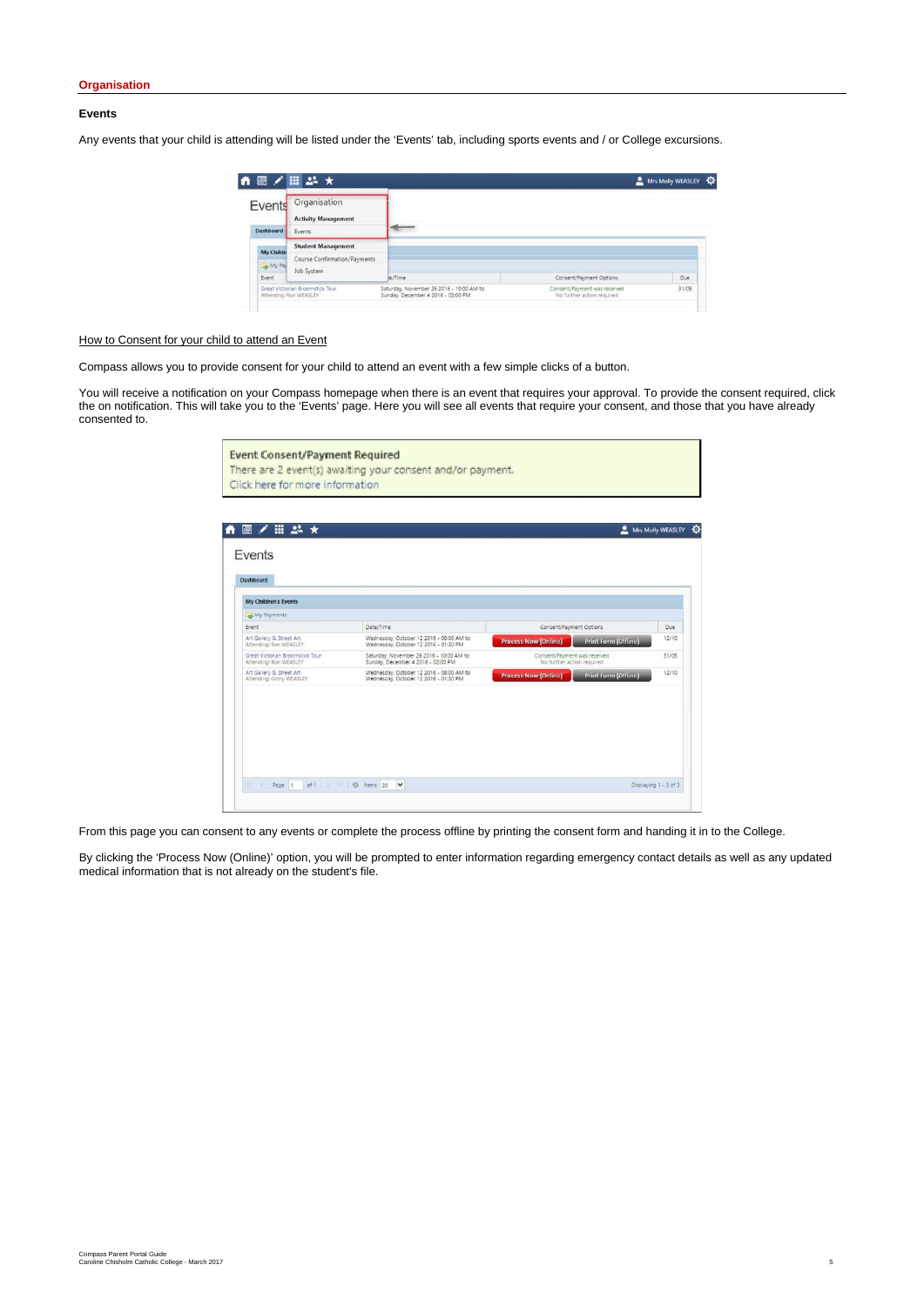#### **Events**

Any events that your child is attending will be listed under the 'Events' tab, including sports events and / or College excursions.

|                            | ←■/冊品★                                               |                                                                                |                                                            | Mrs Molly WEASLEY |
|----------------------------|------------------------------------------------------|--------------------------------------------------------------------------------|------------------------------------------------------------|-------------------|
| Events<br><b>Dashboard</b> | Organisation<br><b>Activity Management</b><br>Events |                                                                                |                                                            |                   |
| <b>My Childri</b>          | <b>Student Management</b>                            |                                                                                |                                                            |                   |
| My Pay                     | Course Confirmation/Payments<br>Job System           |                                                                                |                                                            |                   |
| Event                      |                                                      | te/Time                                                                        | Consent/Payment Options                                    | Due               |
| Attending: Ron WEASLEY     | Great Victorian Broomstick Tour                      | Saturday, November 26 2016 - 10:00 AM to<br>Sunday, December 4 2016 - 02:00 PM | Consent/Payment was received<br>No further action required | 31/05             |

# How to Consent for your child to attend an Event

Compass allows you to provide consent for your child to attend an event with a few simple clicks of a button.

You will receive a notification on your Compass homepage when there is an event that requires your approval. To provide the consent required, click the on notification. This will take you to the 'Events' page. Here you will see all events that require your consent, and those that you have already consented to.

| <b>Event Consent/Payment Required</b>                      |  |
|------------------------------------------------------------|--|
| There are 2 event(s) awaiting your consent and/or payment. |  |
| Click here for more information                            |  |

| My Children's Events            |                                          |                              |       |
|---------------------------------|------------------------------------------|------------------------------|-------|
| My Payments<br>Event            | Date/Time                                | Consent/Payment Options      | Due   |
| Art Gallery & Street Art        | Wednesday, October 12 2016 - 08:00 AM to | <b>Process Now (Online)</b>  | 12/10 |
| Attending: Ron WEASLEY          | Wednesday, October 12 2016 - 01:30 PM    | Print Form (Offline)         |       |
| Great Victorian Broomstick Tour | Saturday, November 26 2016 - 10:00 AM to | Consent/Payment was received | 31/05 |
| Attending: Ron WEASLEY          | Sunday, December 4 2016 - 02:00 PM       | No further action required   |       |
| Art Gallery & Street Art        | Wednesday, October 12 2016 - 08:00 AM to | <b>Print Form (Offline)</b>  | 12/10 |
| Attending: Ginny WEASLEY        | Wednesday, October 12 2016 - 01:30 PM    | <b>Process Now (Online)</b>  |       |
|                                 |                                          |                              |       |

From this page you can consent to any events or complete the process offline by printing the consent form and handing it in to the College.

By clicking the 'Process Now (Online)' option, you will be prompted to enter information regarding emergency contact details as well as any updated medical information that is not already on the student's file.